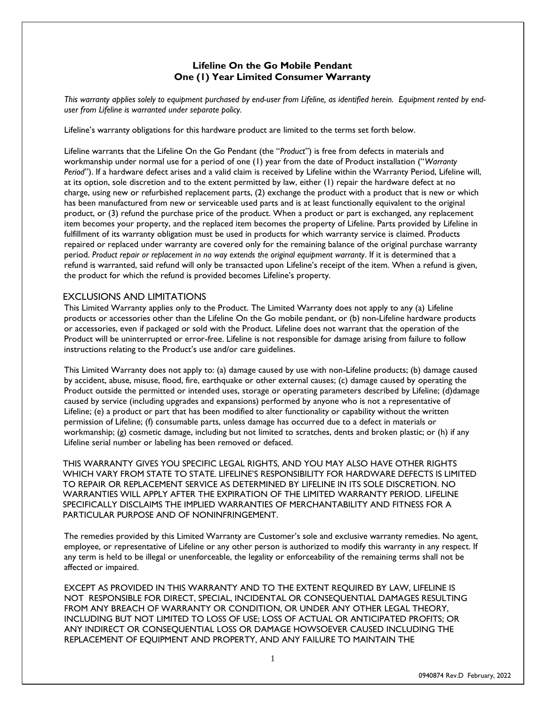## **Lifeline On the Go Mobile Pendant One (1) Year Limited Consumer Warranty**

*This warranty applies solely to equipment purchased by end-user from Lifeline, as identified herein. Equipment rented by enduser from Lifeline is warranted under separate policy.*

Lifeline's warranty obligations for this hardware product are limited to the terms set forth below.

Lifeline warrants that the Lifeline On the Go Pendant (the "*Product*") is free from defects in materials and workmanship under normal use for a period of one (1) year from the date of Product installation ("*Warranty Period*"). If a hardware defect arises and a valid claim is received by Lifeline within the Warranty Period, Lifeline will, at its option, sole discretion and to the extent permitted by law, either (1) repair the hardware defect at no charge, using new or refurbished replacement parts, (2) exchange the product with a product that is new or which has been manufactured from new or serviceable used parts and is at least functionally equivalent to the original product, or (3) refund the purchase price of the product. When a product or part is exchanged, any replacement item becomes your property, and the replaced item becomes the property of Lifeline. Parts provided by Lifeline in fulfillment of its warranty obligation must be used in products for which warranty service is claimed. Products repaired or replaced under warranty are covered only for the remaining balance of the original purchase warranty period. *Product repair or replacement in no way extends the original equipment warranty*. If it is determined that a refund is warranted, said refund will only be transacted upon Lifeline's receipt of the item. When a refund is given, the product for which the refund is provided becomes Lifeline's property.

## EXCLUSIONS AND LIMITATIONS

This Limited Warranty applies only to the Product. The Limited Warranty does not apply to any (a) Lifeline products or accessories other than the Lifeline On the Go mobile pendant, or (b) non-Lifeline hardware products or accessories, even if packaged or sold with the Product. Lifeline does not warrant that the operation of the Product will be uninterrupted or error-free. Lifeline is not responsible for damage arising from failure to follow instructions relating to the Product's use and/or care guidelines.

This Limited Warranty does not apply to: (a) damage caused by use with non-Lifeline products; (b) damage caused by accident, abuse, misuse, flood, fire, earthquake or other external causes; (c) damage caused by operating the Product outside the permitted or intended uses, storage or operating parameters described by Lifeline; (d)damage caused by service (including upgrades and expansions) performed by anyone who is not a representative of Lifeline; (e) a product or part that has been modified to alter functionality or capability without the written permission of Lifeline; (f) consumable parts, unless damage has occurred due to a defect in materials or workmanship; (g) cosmetic damage, including but not limited to scratches, dents and broken plastic; or (h) if any Lifeline serial number or labeling has been removed or defaced.

THIS WARRANTY GIVES YOU SPECIFIC LEGAL RIGHTS, AND YOU MAY ALSO HAVE OTHER RIGHTS WHICH VARY FROM STATE TO STATE. LIFELINE'S RESPONSIBILITY FOR HARDWARE DEFECTS IS LIMITED TO REPAIR OR REPLACEMENT SERVICE AS DETERMINED BY LIFELINE IN ITS SOLE DISCRETION. NO WARRANTIES WILL APPLY AFTER THE EXPIRATION OF THE LIMITED WARRANTY PERIOD. LIFELINE SPECIFICALLY DISCLAIMS THE IMPLIED WARRANTIES OF MERCHANTABILITY AND FITNESS FOR A PARTICULAR PURPOSE AND OF NONINFRINGEMENT.

The remedies provided by this Limited Warranty are Customer's sole and exclusive warranty remedies. No agent, employee, or representative of Lifeline or any other person is authorized to modify this warranty in any respect. If any term is held to be illegal or unenforceable, the legality or enforceability of the remaining terms shall not be affected or impaired.

EXCEPT AS PROVIDED IN THIS WARRANTY AND TO THE EXTENT REQUIRED BY LAW, LIFELINE IS NOT RESPONSIBLE FOR DIRECT, SPECIAL, INCIDENTAL OR CONSEQUENTIAL DAMAGES RESULTING FROM ANY BREACH OF WARRANTY OR CONDITION, OR UNDER ANY OTHER LEGAL THEORY, INCLUDING BUT NOT LIMITED TO LOSS OF USE; LOSS OF ACTUAL OR ANTICIPATED PROFITS; OR ANY INDIRECT OR CONSEQUENTIAL LOSS OR DAMAGE HOWSOEVER CAUSED INCLUDING THE REPLACEMENT OF EQUIPMENT AND PROPERTY, AND ANY FAILURE TO MAINTAIN THE